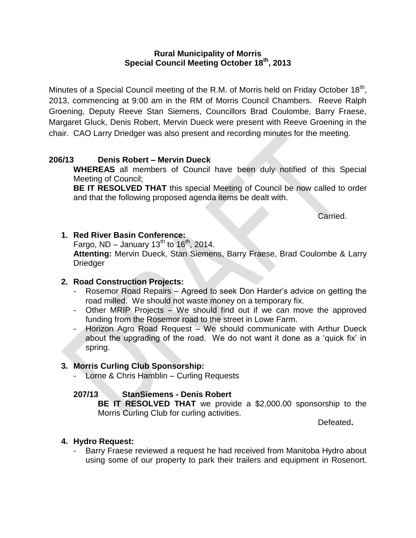### **Rural Municipality of Morris Special Council Meeting October 18th, 2013**

Minutes of a Special Council meeting of the R.M. of Morris held on Friday October 18<sup>th</sup>, 2013, commencing at 9:00 am in the RM of Morris Council Chambers. Reeve Ralph Groening, Deputy Reeve Stan Siemens, Councillors Brad Coulombe, Barry Fraese, Margaret Gluck, Denis Robert, Mervin Dueck were present with Reeve Groening in the chair. CAO Larry Driedger was also present and recording minutes for the meeting.

## **206/13 Denis Robert – Mervin Dueck**

**WHEREAS** all members of Council have been duly notified of this Special Meeting of Council;

**BE IT RESOLVED THAT** this special Meeting of Council be now called to order and that the following proposed agenda items be dealt with.

Carried.

# **1. Red River Basin Conference:**

Fargo, ND – January  $13^{th}$  to  $16^{th}$ , 2014.

**Attenting:** Mervin Dueck, Stan Siemens, Barry Fraese, Brad Coulombe & Larry Driedger

## **2. Road Construction Projects:**

- Rosemor Road Repairs Agreed to seek Don Harder's advice on getting the road milled. We should not waste money on a temporary fix.
- Other MRIP Projects We should find out if we can move the approved funding from the Rosemor road to the street in Lowe Farm.
- Horizon Agro Road Request We should communicate with Arthur Dueck about the upgrading of the road. We do not want it done as a 'quick fix' in spring.

## **3. Morris Curling Club Sponsorship:**

- Lorne & Chris Hamblin – Curling Requests

## **207/13 StanSiemens - Denis Robert**

**BE IT RESOLVED THAT** we provide a \$2,000.00 sponsorship to the Morris Curling Club for curling activities.

Defeated**.**

## **4. Hydro Request:**

Barry Fraese reviewed a request he had received from Manitoba Hydro about using some of our property to park their trailers and equipment in Rosenort.